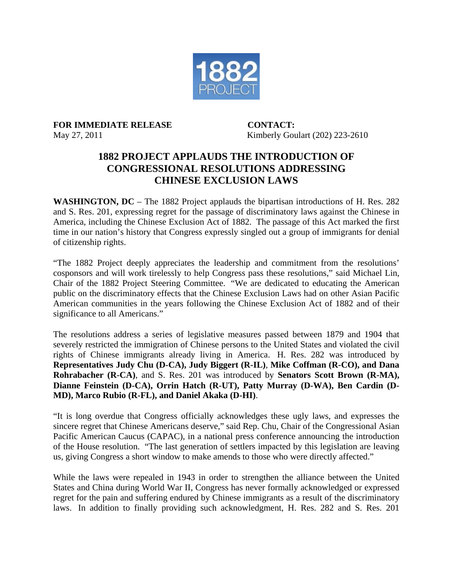

**FOR IMMEDIATE RELEASE CONTACT:**

May 27, 2011 Kimberly Goulart (202) 223-2610

## **1882 PROJECT APPLAUDS THE INTRODUCTION OF CONGRESSIONAL RESOLUTIONS ADDRESSING CHINESE EXCLUSION LAWS**

**WASHINGTON, DC** – The 1882 Project applauds the bipartisan introductions of H. Res. 282 and S. Res. 201, expressing regret for the passage of discriminatory laws against the Chinese in America, including the Chinese Exclusion Act of 1882. The passage of this Act marked the first time in our nation's history that Congress expressly singled out a group of immigrants for denial of citizenship rights.

"The 1882 Project deeply appreciates the leadership and commitment from the resolutions' cosponsors and will work tirelessly to help Congress pass these resolutions," said Michael Lin, Chair of the 1882 Project Steering Committee."We are dedicated to educating the American public on the discriminatory effects that the Chinese Exclusion Laws had on other Asian Pacific American communities in the years following the Chinese Exclusion Act of 1882 and of their significance to all Americans."

The resolutions address a series of legislative measures passed between 1879 and 1904 that severely restricted the immigration of Chinese persons to the United States and violated the civil rights of Chinese immigrants already living in America. H. Res. 282 was introduced by **Representatives Judy Chu (D-CA), Judy Biggert (R-IL)**, **Mike Coffman (R-CO), and Dana Rohrabacher (R-CA)**, and S. Res. 201 was introduced by **Senators Scott Brown (R-MA), Dianne Feinstein (D-CA), Orrin Hatch (R-UT), Patty Murray (D-WA), Ben Cardin (D-MD), Marco Rubio (R-FL), and Daniel Akaka (D-HI)**.

"It is long overdue that Congress officially acknowledges these ugly laws, and expresses the sincere regret that Chinese Americans deserve," said Rep. Chu, Chair of the Congressional Asian Pacific American Caucus (CAPAC), in a national press conference announcing the introduction of the House resolution. "The last generation of settlers impacted by this legislation are leaving us, giving Congress a short window to make amends to those who were directly affected."

While the laws were repealed in 1943 in order to strengthen the alliance between the United States and China during World War II, Congress has never formally acknowledged or expressed regret for the pain and suffering endured by Chinese immigrants as a result of the discriminatory laws. In addition to finally providing such acknowledgment, H. Res. 282 and S. Res. 201